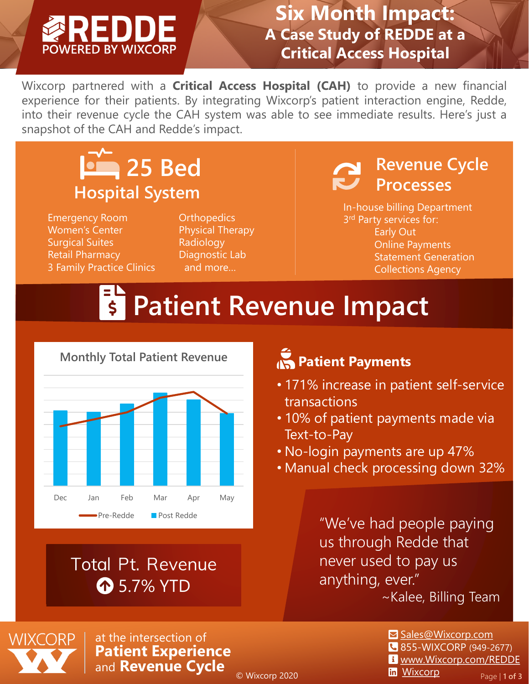#### **Six Month Impact: A Case Study of REDDE at a Critical Access Hospital**

Wixcorp partnered with a **Critical Access Hospital (CAH)** to provide a new financial experience for their patients. By integrating Wixcorp's patient interaction engine, Redde, into their revenue cycle the CAH system was able to see immediate results. Here's just a snapshot of the CAH and Redde's impact.

### **25 Bed Hospital System**

Emergency Room Women's Center Surgical Suites Retail Pharmacy 3 Family Practice Clinics

**Orthopedics** Physical Therapy Radiology Diagnostic Lab and more…

#### **Revenue Cycle Processes**

In-house billing Department 3<sup>rd</sup> Party services for: Early Out Online Payments Statement Generation Collections Agency

## **Fi** Patient Revenue Impact



#### **Total Pt. Revenue 1** 5.7% YTD

#### **Patient Payments**

- 171% increase in patient self-service transactions
- 10% of patient payments made via Text-to-Pay
- No-login payments are up 47%
- Manual check processing down 32%

"We've had people paying us through Redde that never used to pay us anything, ever."

~Kalee, Billing Team



at the intersection of **Patient Experience**  and **Revenue Cycle**

© Wixcorp 2020

- **⊠** [Sales@Wixcorp.com](mailto:Sales@Wixcorp.com?subject=I%20would%20like%20to%20learn%20more%20about%20Redde) **855-WIXCORP (949-2677)** [www.Wixcorp.com/REDDE](http://www.wixcorp.com/REDDE)
- **in** [Wixcorp](http://www.linkedin.com/company/wixcorp) Page | 1 of 3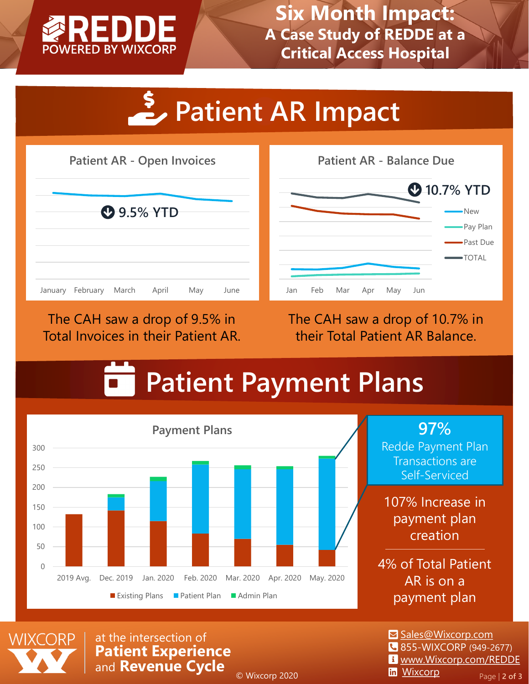

**Six Month Impact: A Case Study of REDDE at a Critical Access Hospital**

# **Patient AR Impact**



The CAH saw a drop of 9.5% in Total Invoices in their Patient AR. The CAH saw a drop of 10.7% in their Total Patient AR Balance.

### **Patient Payment Plans**



**97%**

Redde Payment Plan Transactions are Self-Serviced

107% Increase in payment plan creation

4% of Total Patient AR is on a payment plan



at the intersection of **Patient Experience**  and **Revenue Cycle**

© Wixcorp 2020

**⊠** [Sales@Wixcorp.com](mailto:Sales@Wixcorp.com?subject=I%20would%20like%20to%20learn%20more%20about%20Redde) 855-WIXCORP (949-2677)

- [www.Wixcorp.com/REDDE](http://www.wixcorp.com/REDDE)
- **in** [Wixcorp](http://www.linkedin.com/company/wixcorp) Page | 2 of 3